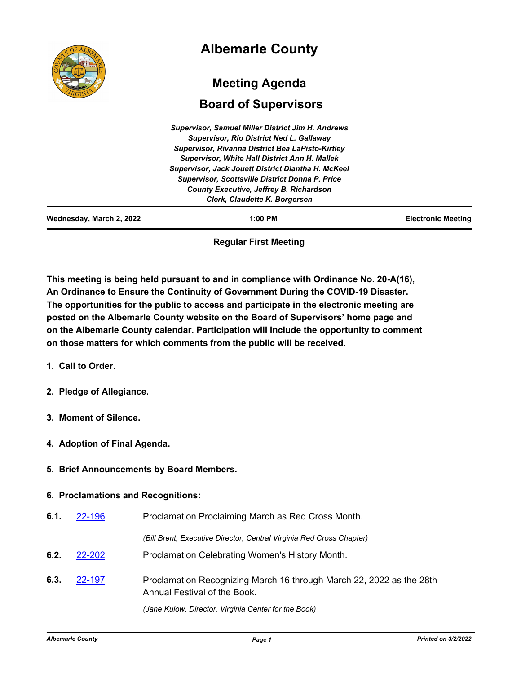|                          | <b>Albemarle County</b>                                   |                           |
|--------------------------|-----------------------------------------------------------|---------------------------|
|                          | <b>Meeting Agenda</b>                                     |                           |
|                          | <b>Board of Supervisors</b>                               |                           |
|                          | <b>Supervisor, Samuel Miller District Jim H. Andrews</b>  |                           |
|                          | <b>Supervisor, Rio District Ned L. Gallaway</b>           |                           |
|                          | Supervisor, Rivanna District Bea LaPisto-Kirtley          |                           |
|                          | <b>Supervisor, White Hall District Ann H. Mallek</b>      |                           |
|                          | <b>Supervisor, Jack Jouett District Diantha H. McKeel</b> |                           |
|                          | <b>Supervisor, Scottsville District Donna P. Price</b>    |                           |
|                          | County Executive, Jeffrey B. Richardson                   |                           |
|                          | Clerk, Claudette K. Borgersen                             |                           |
| Wednesday, March 2, 2022 | $1:00$ PM                                                 | <b>Electronic Meeting</b> |

**Regular First Meeting**

**This meeting is being held pursuant to and in compliance with Ordinance No. 20-A(16), An Ordinance to Ensure the Continuity of Government During the COVID-19 Disaster. The opportunities for the public to access and participate in the electronic meeting are posted on the Albemarle County website on the Board of Supervisors' home page and on the Albemarle County calendar. Participation will include the opportunity to comment on those matters for which comments from the public will be received.**

- **1. Call to Order.**
- **2. Pledge of Allegiance.**
- **3. Moment of Silence.**
- **4. Adoption of Final Agenda.**
- **5. Brief Announcements by Board Members.**

### **6. Proclamations and Recognitions:**

- **6.1.** [22-196](http://albemarle.legistar.com/gateway.aspx?m=l&id=/matter.aspx?key=6941) Proclamation Proclaiming March as Red Cross Month. *(Bill Brent, Executive Director, Central Virginia Red Cross Chapter)*
- **6.2.** [22-202](http://albemarle.legistar.com/gateway.aspx?m=l&id=/matter.aspx?key=6947) Proclamation Celebrating Women's History Month.
- Proclamation Recognizing March 16 through March 22, 2022 as the 28th Annual Festival of the Book. **6.3.** [22-197](http://albemarle.legistar.com/gateway.aspx?m=l&id=/matter.aspx?key=6942)

*(Jane Kulow, Director, Virginia Center for the Book)*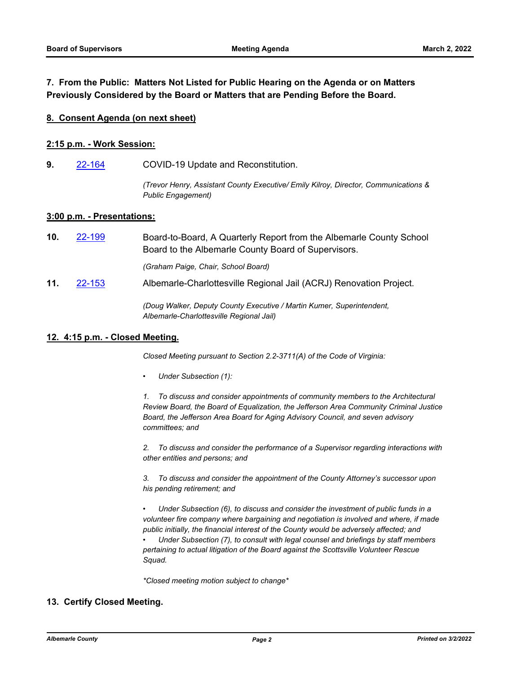## **7. From the Public: Matters Not Listed for Public Hearing on the Agenda or on Matters Previously Considered by the Board or Matters that are Pending Before the Board.**

#### **8. Consent Agenda (on next sheet)**

#### **2:15 p.m. - Work Session:**

**9.** [22-164](http://albemarle.legistar.com/gateway.aspx?m=l&id=/matter.aspx?key=6909) COVID-19 Update and Reconstitution.

*(Trevor Henry, Assistant County Executive/ Emily Kilroy, Director, Communications & Public Engagement)*

#### **3:00 p.m. - Presentations:**

Board-to-Board, A Quarterly Report from the Albemarle County School Board to the Albemarle County Board of Supervisors. **10.** [22-199](http://albemarle.legistar.com/gateway.aspx?m=l&id=/matter.aspx?key=6944)

*(Graham Paige, Chair, School Board)*

**11.** [22-153](http://albemarle.legistar.com/gateway.aspx?m=l&id=/matter.aspx?key=6898) Albemarle-Charlottesville Regional Jail (ACRJ) Renovation Project.

*(Doug Walker, Deputy County Executive / Martin Kumer, Superintendent, Albemarle-Charlottesville Regional Jail)*

#### **12. 4:15 p.m. - Closed Meeting.**

*Closed Meeting pursuant to Section 2.2-3711(A) of the Code of Virginia:*

*• Under Subsection (1):*

*1. To discuss and consider appointments of community members to the Architectural Review Board, the Board of Equalization, the Jefferson Area Community Criminal Justice Board, the Jefferson Area Board for Aging Advisory Council, and seven advisory committees; and* 

*2. To discuss and consider the performance of a Supervisor regarding interactions with other entities and persons; and*

*3. To discuss and consider the appointment of the County Attorney's successor upon his pending retirement; and*

*• Under Subsection (6), to discuss and consider the investment of public funds in a volunteer fire company where bargaining and negotiation is involved and where, if made public initially, the financial interest of the County would be adversely affected; and* 

*• Under Subsection (7), to consult with legal counsel and briefings by staff members pertaining to actual litigation of the Board against the Scottsville Volunteer Rescue Squad.*

*\*Closed meeting motion subject to change\**

### **13. Certify Closed Meeting.**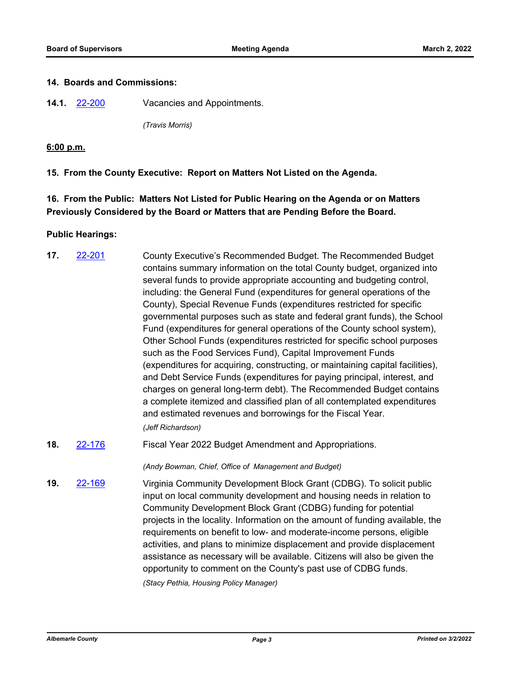#### **14. Boards and Commissions:**

**14.1.** [22-200](http://albemarle.legistar.com/gateway.aspx?m=l&id=/matter.aspx?key=6945) Vacancies and Appointments.

*(Travis Morris)*

### **6:00 p.m.**

**15. From the County Executive: Report on Matters Not Listed on the Agenda.**

# **16. From the Public: Matters Not Listed for Public Hearing on the Agenda or on Matters Previously Considered by the Board or Matters that are Pending Before the Board.**

### **Public Hearings:**

- County Executive's Recommended Budget. The Recommended Budget contains summary information on the total County budget, organized into several funds to provide appropriate accounting and budgeting control, including: the General Fund (expenditures for general operations of the County), Special Revenue Funds (expenditures restricted for specific governmental purposes such as state and federal grant funds), the School Fund (expenditures for general operations of the County school system), Other School Funds (expenditures restricted for specific school purposes such as the Food Services Fund), Capital Improvement Funds (expenditures for acquiring, constructing, or maintaining capital facilities), and Debt Service Funds (expenditures for paying principal, interest, and charges on general long-term debt). The Recommended Budget contains a complete itemized and classified plan of all contemplated expenditures and estimated revenues and borrowings for the Fiscal Year. **17.** [22-201](http://albemarle.legistar.com/gateway.aspx?m=l&id=/matter.aspx?key=6946) *(Jeff Richardson)*
- **18.** [22-176](http://albemarle.legistar.com/gateway.aspx?m=l&id=/matter.aspx?key=6921) Fiscal Year 2022 Budget Amendment and Appropriations.

*(Andy Bowman, Chief, Office of Management and Budget)*

Virginia Community Development Block Grant (CDBG). To solicit public input on local community development and housing needs in relation to Community Development Block Grant (CDBG) funding for potential projects in the locality. Information on the amount of funding available, the requirements on benefit to low- and moderate-income persons, eligible activities, and plans to minimize displacement and provide displacement assistance as necessary will be available. Citizens will also be given the opportunity to comment on the County's past use of CDBG funds. **19.** [22-169](http://albemarle.legistar.com/gateway.aspx?m=l&id=/matter.aspx?key=6914) *(Stacy Pethia, Housing Policy Manager)*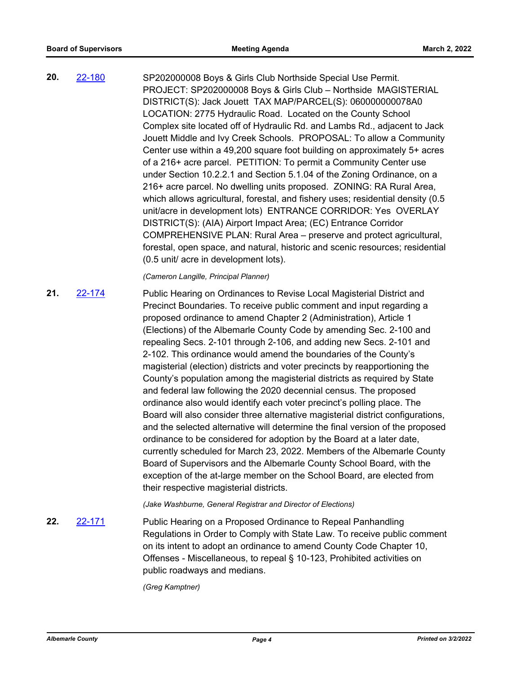SP202000008 Boys & Girls Club Northside Special Use Permit. PROJECT: SP202000008 Boys & Girls Club – Northside MAGISTERIAL DISTRICT(S): Jack Jouett TAX MAP/PARCEL(S): 060000000078A0 LOCATION: 2775 Hydraulic Road. Located on the County School Complex site located off of Hydraulic Rd. and Lambs Rd., adjacent to Jack Jouett Middle and Ivy Creek Schools. PROPOSAL: To allow a Community Center use within a 49,200 square foot building on approximately 5+ acres of a 216+ acre parcel. PETITION: To permit a Community Center use under Section 10.2.2.1 and Section 5.1.04 of the Zoning Ordinance, on a 216+ acre parcel. No dwelling units proposed. ZONING: RA Rural Area, which allows agricultural, forestal, and fishery uses; residential density (0.5 unit/acre in development lots) ENTRANCE CORRIDOR: Yes OVERLAY DISTRICT(S): (AIA) Airport Impact Area; (EC) Entrance Corridor COMPREHENSIVE PLAN: Rural Area – preserve and protect agricultural, forestal, open space, and natural, historic and scenic resources; residential (0.5 unit/ acre in development lots). **20.** [22-180](http://albemarle.legistar.com/gateway.aspx?m=l&id=/matter.aspx?key=6925)

*(Cameron Langille, Principal Planner)*

Public Hearing on Ordinances to Revise Local Magisterial District and Precinct Boundaries. To receive public comment and input regarding a proposed ordinance to amend Chapter 2 (Administration), Article 1 (Elections) of the Albemarle County Code by amending Sec. 2-100 and repealing Secs. 2-101 through 2-106, and adding new Secs. 2-101 and 2-102. This ordinance would amend the boundaries of the County's magisterial (election) districts and voter precincts by reapportioning the County's population among the magisterial districts as required by State and federal law following the 2020 decennial census. The proposed ordinance also would identify each voter precinct's polling place. The Board will also consider three alternative magisterial district configurations, and the selected alternative will determine the final version of the proposed ordinance to be considered for adoption by the Board at a later date, currently scheduled for March 23, 2022. Members of the Albemarle County Board of Supervisors and the Albemarle County School Board, with the exception of the at-large member on the School Board, are elected from their respective magisterial districts. **21.** [22-174](http://albemarle.legistar.com/gateway.aspx?m=l&id=/matter.aspx?key=6919)

*(Jake Washburne, General Registrar and Director of Elections)*

Public Hearing on a Proposed Ordinance to Repeal Panhandling Regulations in Order to Comply with State Law. To receive public comment on its intent to adopt an ordinance to amend County Code Chapter 10, Offenses - Miscellaneous, to repeal § 10-123, Prohibited activities on public roadways and medians. **22.** [22-171](http://albemarle.legistar.com/gateway.aspx?m=l&id=/matter.aspx?key=6916)

*(Greg Kamptner)*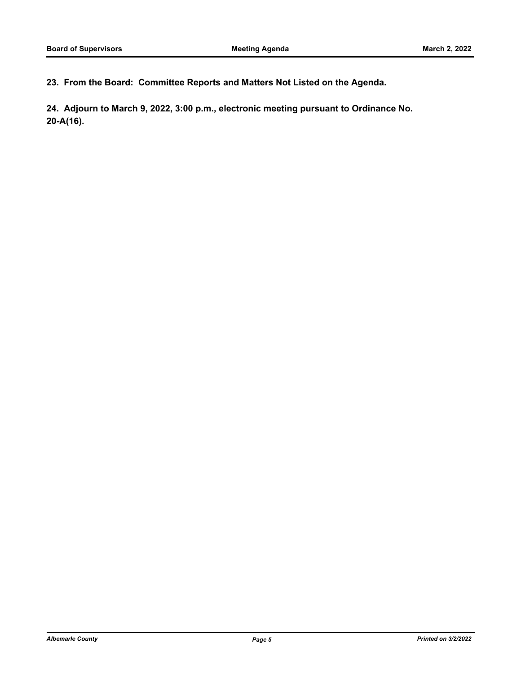**23. From the Board: Committee Reports and Matters Not Listed on the Agenda.**

**24. Adjourn to March 9, 2022, 3:00 p.m., electronic meeting pursuant to Ordinance No. 20-A(16).**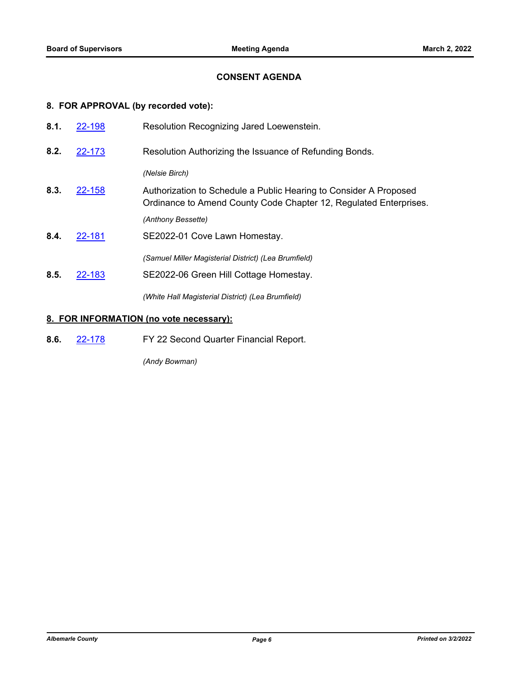## **CONSENT AGENDA**

# **8. FOR APPROVAL (by recorded vote):**

| 8.1. | 22-198 | Resolution Recognizing Jared Loewenstein.                                                                                              |  |
|------|--------|----------------------------------------------------------------------------------------------------------------------------------------|--|
| 8.2. | 22-173 | Resolution Authorizing the Issuance of Refunding Bonds.                                                                                |  |
|      |        | (Nelsie Birch)                                                                                                                         |  |
| 8.3. | 22-158 | Authorization to Schedule a Public Hearing to Consider A Proposed<br>Ordinance to Amend County Code Chapter 12, Regulated Enterprises. |  |
|      |        | (Anthony Bessette)                                                                                                                     |  |
| 8.4. | 22-181 | SE2022-01 Cove Lawn Homestay.                                                                                                          |  |
|      |        | (Samuel Miller Magisterial District) (Lea Brumfield)                                                                                   |  |
| 8.5. | 22-183 | SE2022-06 Green Hill Cottage Homestay.                                                                                                 |  |
|      |        | (White Hall Magisterial District) (Lea Brumfield)                                                                                      |  |

## **8. FOR INFORMATION (no vote necessary):**

**8.6.** [22-178](http://albemarle.legistar.com/gateway.aspx?m=l&id=/matter.aspx?key=6923) FY 22 Second Quarter Financial Report.

*(Andy Bowman)*